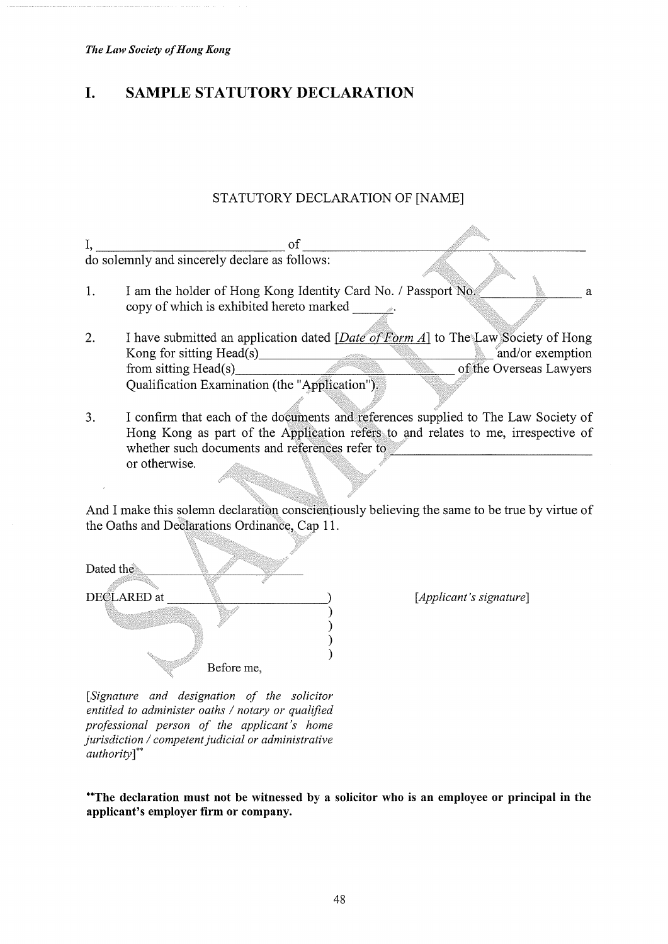## I. SAMPLE STATUTORY DECLARATION

## STATUTORY DECLARATION OF [NAME]

 $1, \underline{\hspace{1cm}}$  of  $\underline{\hspace{1cm}}$ do solemnly and sincerely declare as follows:

- 1. I am the holder of Hong Kong Identity Card No. / Passport No. a copy of which is exhibited hereto marked and a state
- 2. I have submitted an application dated  $[Date\ of\ Form\ A]$  to The Law Society of Hong Kong for sitting Head(s) and/or exemption Kong for sitting Head(s)<br>from sitting Head(s) and/or exemption<br>of the Overseas Lawyers from sitting  $Head(s)$ Qualification Examination (the 'Application).
- 3. I confirm that each of the documents and references supplied to The Law Society of Hong Kong as part of the Application refers to and relates to me, irrespective of whether such documents and references refer to or otherwise.

And I make this solemn declaration conscientiously believing the same to be true by virtue of the Oaths and Declarations Ordinance, Cap 11.

Dated the DECLARED at Before me,

[*Applicant's signature*]

[Signature and designation of the solicitor entitled to administer oaths / notary or qualified professional person of the applicant's home jurisdiction / competent judicial or administrative authority]\*\*

\*\*The declaration must not be witnessed by a solicitor who is an employee or principal in the applicant's employer firm or company.